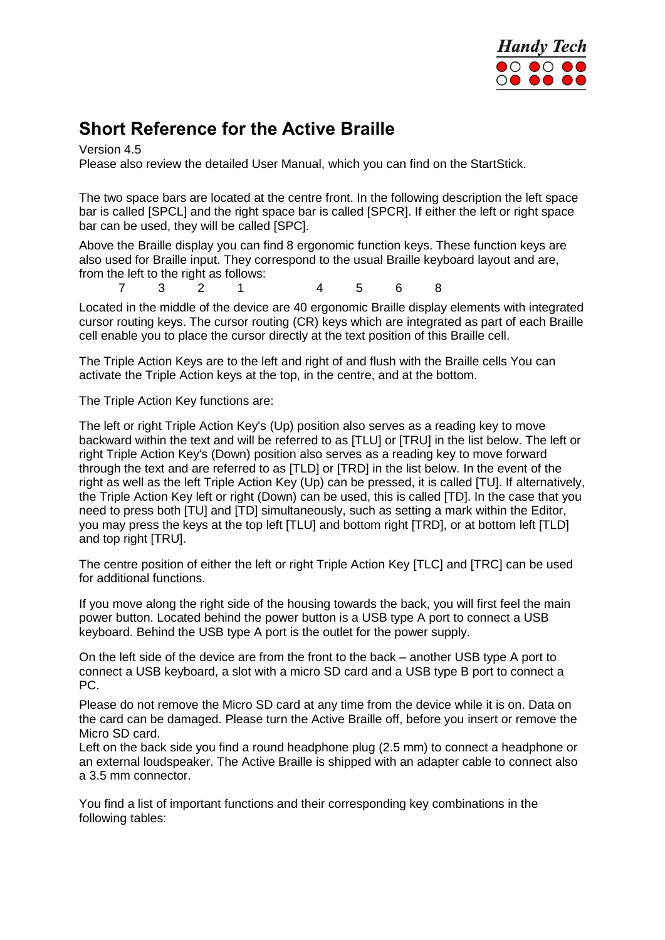

### **Short Reference for the Active Braille**

Version 4.5

Please also review the detailed User Manual, which you can find on the StartStick.

The two space bars are located at the centre front. In the following description the left space bar is called [SPCL] and the right space bar is called [SPCR]. If either the left or right space bar can be used, they will be called [SPC].

Above the Braille display you can find 8 ergonomic function keys. These function keys are also used for Braille input. They correspond to the usual Braille keyboard layout and are, from the left to the right as follows:<br> $\frac{7}{3}$   $\frac{2}{3}$  1

7 3 2 1 4 5 6 8

Located in the middle of the device are 40 ergonomic Braille display elements with integrated cursor routing keys. The cursor routing (CR) keys which are integrated as part of each Braille cell enable you to place the cursor directly at the text position of this Braille cell.

The Triple Action Keys are to the left and right of and flush with the Braille cells You can activate the Triple Action keys at the top, in the centre, and at the bottom.

The Triple Action Key functions are:

The left or right Triple Action Key's (Up) position also serves as a reading key to move backward within the text and will be referred to as [TLU] or [TRU] in the list below. The left or right Triple Action Key's (Down) position also serves as a reading key to move forward through the text and are referred to as [TLD] or [TRD] in the list below. In the event of the right as well as the left Triple Action Key (Up) can be pressed, it is called [TU]. If alternatively, the Triple Action Key left or right (Down) can be used, this is called [TD]. In the case that you need to press both [TU] and [TD] simultaneously, such as setting a mark within the Editor, you may press the keys at the top left [TLU] and bottom right [TRD], or at bottom left [TLD] and top right [TRU].

The centre position of either the left or right Triple Action Key [TLC] and [TRC] can be used for additional functions.

If you move along the right side of the housing towards the back, you will first feel the main power button. Located behind the power button is a USB type A port to connect a USB keyboard. Behind the USB type A port is the outlet for the power supply.

On the left side of the device are from the front to the back – another USB type A port to connect a USB keyboard, a slot with a micro SD card and a USB type B port to connect a PC.

Please do not remove the Micro SD card at any time from the device while it is on. Data on the card can be damaged. Please turn the Active Braille off, before you insert or remove the Micro SD card.

Left on the back side you find a round headphone plug (2.5 mm) to connect a headphone or an external loudspeaker. The Active Braille is shipped with an adapter cable to connect also a 3.5 mm connector.

You find a list of important functions and their corresponding key combinations in the following tables: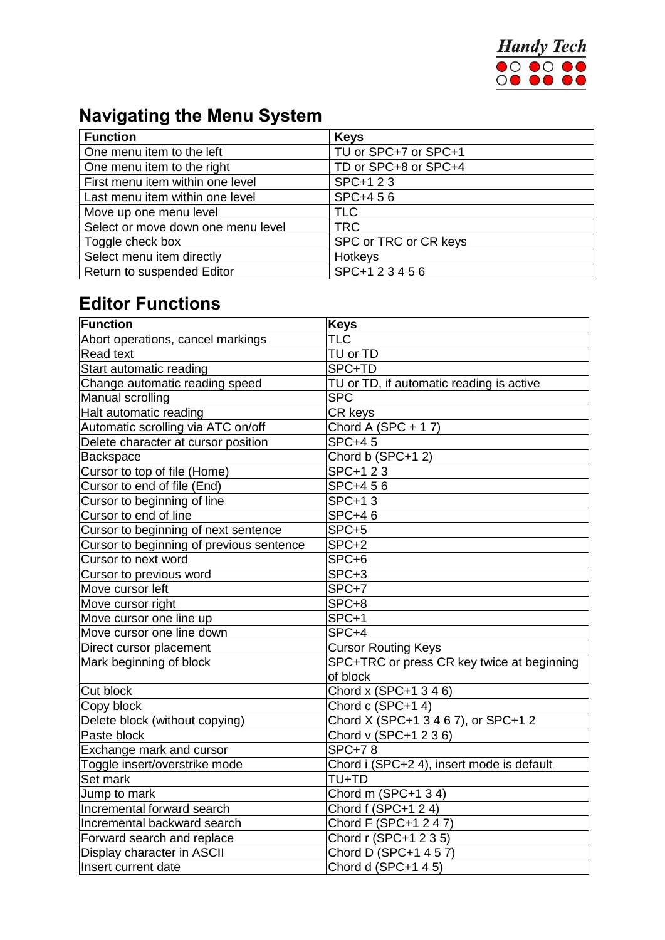

# **Navigating the Menu System**

| <b>Function</b>                    | <b>Keys</b>           |
|------------------------------------|-----------------------|
| One menu item to the left          | TU or SPC+7 or SPC+1  |
| One menu item to the right         | TD or SPC+8 or SPC+4  |
| First menu item within one level   | SPC+1 2 3             |
| Last menu item within one level    | SPC+456               |
| Move up one menu level             | <b>TLC</b>            |
| Select or move down one menu level | <b>TRC</b>            |
| Toggle check box                   | SPC or TRC or CR keys |
| Select menu item directly          | Hotkeys               |
| Return to suspended Editor         | SPC+123456            |

## **Editor Functions**

| Function                                 | <b>Keys</b>                                |
|------------------------------------------|--------------------------------------------|
| Abort operations, cancel markings        | TLC                                        |
| <b>Read text</b>                         | TU or TD                                   |
| Start automatic reading                  | SPC+TD                                     |
| Change automatic reading speed           | TU or TD, if automatic reading is active   |
| Manual scrolling                         | <b>SPC</b>                                 |
| Halt automatic reading                   | CR keys                                    |
| Automatic scrolling via ATC on/off       | Chord A (SPC + 17)                         |
| Delete character at cursor position      | $SPC+45$                                   |
| Backspace                                | Chord b (SPC+12)                           |
| Cursor to top of file (Home)             | SPC+1 2 3                                  |
| Cursor to end of file (End)              | SPC+456                                    |
| Cursor to beginning of line              | SPC+13                                     |
| Cursor to end of line                    | <b>SPC+46</b>                              |
| Cursor to beginning of next sentence     | SPC+5                                      |
| Cursor to beginning of previous sentence | SPC+2                                      |
| Cursor to next word                      | SPC+6                                      |
| Cursor to previous word                  | SPC+3                                      |
| Move cursor left                         | SPC+7                                      |
| Move cursor right                        | SPC+8                                      |
| Move cursor one line up                  | SPC+1                                      |
| Move cursor one line down                | SPC+4                                      |
| Direct cursor placement                  | <b>Cursor Routing Keys</b>                 |
| Mark beginning of block                  | SPC+TRC or press CR key twice at beginning |
|                                          | of block                                   |
| Cut block                                | Chord x (SPC+1 3 4 6)                      |
| Copy block                               | Chord c (SPC+14)                           |
| Delete block (without copying)           | Chord X (SPC+1 3 4 6 7), or SPC+1 2        |
| Paste block                              | Chord v (SPC+1 2 3 6)                      |
| Exchange mark and cursor                 | <b>SPC+78</b>                              |
| Toggle insert/overstrike mode            | Chord i (SPC+2 4), insert mode is default  |
| Set mark                                 | TU+TD                                      |
| Jump to mark                             | Chord m (SPC+1 3 4)                        |
| Incremental forward search               | Chord f (SPC+1 2 4)                        |
| Incremental backward search              | Chord F (SPC+1 2 4 7)                      |
| Forward search and replace               | Chord r (SPC+1 2 3 5)                      |
| Display character in ASCII               | Chord D (SPC+1 4 5 7)                      |
| Insert current date                      | Chord d (SPC+1 4 5)                        |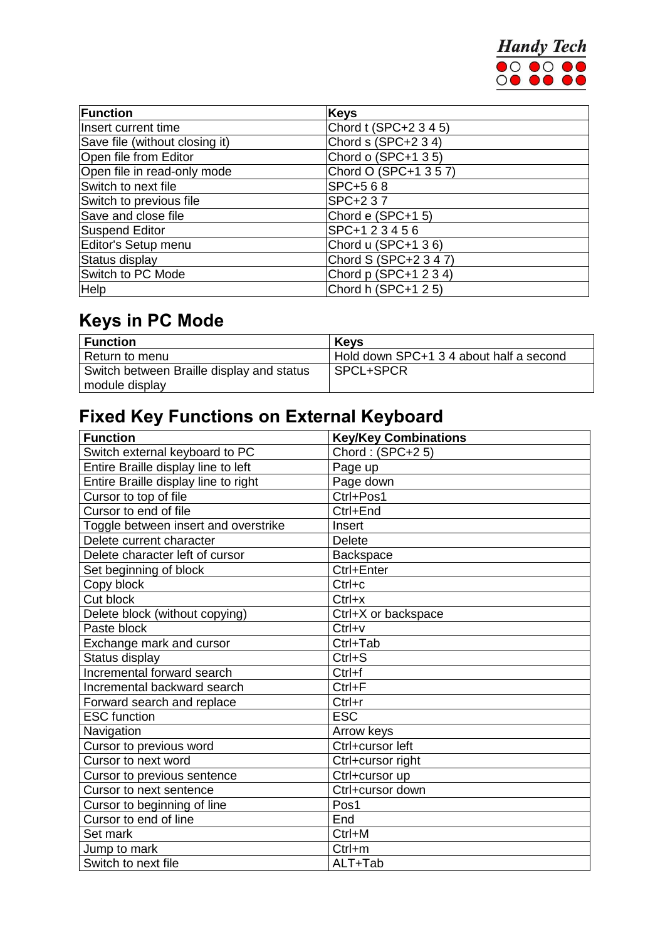

| <b>Function</b>                | <b>Keys</b>           |
|--------------------------------|-----------------------|
| Insert current time            | Chord t (SPC+2 3 4 5) |
| Save file (without closing it) | Chord $s$ (SPC+2 3 4) |
| Open file from Editor          | Chord o (SPC+1 3 5)   |
| Open file in read-only mode    | Chord O (SPC+1 3 5 7) |
| Switch to next file            | SPC+568               |
| Switch to previous file        | SPC+237               |
| Save and close file            | Chord e (SPC+1 5)     |
| Suspend Editor                 | SPC+123456            |
| Editor's Setup menu            | Chord u (SPC+1 36)    |
| Status display                 | Chord S (SPC+2 3 4 7) |
| Switch to PC Mode              | Chord p (SPC+1 2 3 4) |
| Help                           | Chord h (SPC+1 2 5)   |

## **Keys in PC Mode**

| <b>Function</b>                           | <b>Kevs</b>                             |
|-------------------------------------------|-----------------------------------------|
| Return to menu                            | Hold down SPC+1 3 4 about half a second |
| Switch between Braille display and status | SPCL+SPCR                               |
| module display                            |                                         |

# **Fixed Key Functions on External Keyboard**

| <b>Function</b>                      | <b>Key/Key Combinations</b> |
|--------------------------------------|-----------------------------|
| Switch external keyboard to PC       | Chord: $(SPC+2 5)$          |
| Entire Braille display line to left  | Page up                     |
| Entire Braille display line to right | Page down                   |
| Cursor to top of file                | Ctrl+Pos1                   |
| Cursor to end of file                | Ctrl+End                    |
| Toggle between insert and overstrike | Insert                      |
| Delete current character             | <b>Delete</b>               |
| Delete character left of cursor      | <b>Backspace</b>            |
| Set beginning of block               | Ctrl+Enter                  |
| Copy block                           | $Ctrl + c$                  |
| Cut block                            | $Ctrl+x$                    |
| Delete block (without copying)       | Ctrl+X or backspace         |
| Paste block                          | $Ctrl+v$                    |
| Exchange mark and cursor             | Ctrl+Tab                    |
| Status display                       | $Ctrl + S$                  |
| Incremental forward search           | $Ctrl + f$                  |
| Incremental backward search          | $Ctrl + F$                  |
| Forward search and replace           | $Ctrl+r$                    |
| <b>ESC</b> function                  | <b>ESC</b>                  |
| Navigation                           | Arrow keys                  |
| Cursor to previous word              | Ctrl+cursor left            |
| Cursor to next word                  | Ctrl+cursor right           |
| Cursor to previous sentence          | Ctrl+cursor up              |
| Cursor to next sentence              | Ctrl+cursor down            |
| Cursor to beginning of line          | Pos1                        |
| Cursor to end of line                | End                         |
| Set mark                             | $Ctrl+M$                    |
| Jump to mark                         | $Ctrl+m$                    |
| Switch to next file                  | ALT+Tab                     |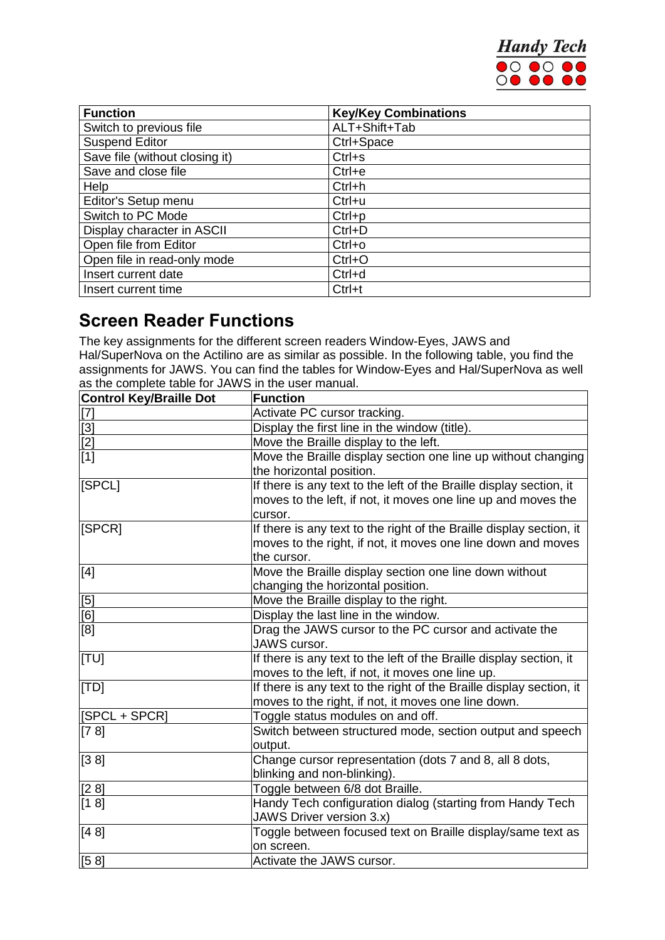

| <b>Function</b>                | <b>Key/Key Combinations</b> |
|--------------------------------|-----------------------------|
| Switch to previous file        | ALT+Shift+Tab               |
| <b>Suspend Editor</b>          | Ctrl+Space                  |
| Save file (without closing it) | $Ctrl + s$                  |
| Save and close file            | $Ctrl + e$                  |
| Help                           | $Ctrl + h$                  |
| Editor's Setup menu            | $Ctrl+u$                    |
| Switch to PC Mode              | $Ctrl + p$                  |
| Display character in ASCII     | $Ctrl + D$                  |
| Open file from Editor          | $Ctrl+o$                    |
| Open file in read-only mode    | $Ctrl + O$                  |
| Insert current date            | $Ctrl + d$                  |
| Insert current time            | Ctrl+t                      |

#### **Screen Reader Functions**

The key assignments for the different screen readers Window-Eyes, JAWS and Hal/SuperNova on the Actilino are as similar as possible. In the following table, you find the assignments for JAWS. You can find the tables for Window-Eyes and Hal/SuperNova as well as the complete table for JAWS in the user manual.

| <b>Control Key/Braille Dot</b>          | <b>Function</b>                                                      |
|-----------------------------------------|----------------------------------------------------------------------|
|                                         | Activate PC cursor tracking.                                         |
|                                         | Display the first line in the window (title).                        |
| $\frac{[7]}{[3]}$<br>$\frac{[2]}{[1]}$  | Move the Braille display to the left.                                |
|                                         | Move the Braille display section one line up without changing        |
|                                         | the horizontal position.                                             |
| [SPCL]                                  | If there is any text to the left of the Braille display section, it  |
|                                         | moves to the left, if not, it moves one line up and moves the        |
|                                         | cursor.                                                              |
| [SPCR]                                  | If there is any text to the right of the Braille display section, it |
|                                         | moves to the right, if not, it moves one line down and moves         |
|                                         | the cursor.                                                          |
| [4]                                     | Move the Braille display section one line down without               |
|                                         | changing the horizontal position.                                    |
|                                         | Move the Braille display to the right.                               |
| $\frac{\left[5\right]}{\left[6\right]}$ | Display the last line in the window.                                 |
| [8]                                     | Drag the JAWS cursor to the PC cursor and activate the               |
|                                         | JAWS cursor.                                                         |
| [TU]                                    | If there is any text to the left of the Braille display section, it  |
|                                         | moves to the left, if not, it moves one line up.                     |
| [TD]                                    | If there is any text to the right of the Braille display section, it |
|                                         | moves to the right, if not, it moves one line down.                  |
| [SPCL + SPCR]                           | Toggle status modules on and off.                                    |
| [7 8]                                   | Switch between structured mode, section output and speech            |
|                                         | output.                                                              |
| [38]                                    | Change cursor representation (dots 7 and 8, all 8 dots,              |
|                                         | blinking and non-blinking).                                          |
| [2 8]                                   | Toggle between 6/8 dot Braille.                                      |
| [1 8]                                   | Handy Tech configuration dialog (starting from Handy Tech            |
|                                         | <b>JAWS Driver version 3.x)</b>                                      |
| [4 8]                                   | Toggle between focused text on Braille display/same text as          |
|                                         | on screen.                                                           |
| [58]                                    | Activate the JAWS cursor.                                            |
|                                         |                                                                      |